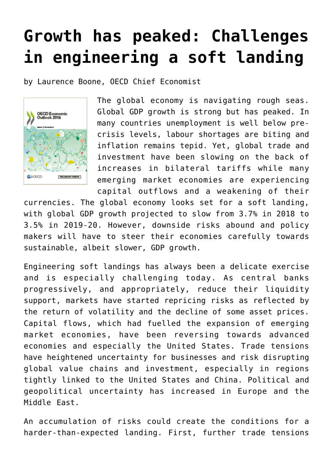## **[Growth has peaked: Challenges](https://oecdecoscope.blog/2018/11/21/growth-has-peaked-challenges-in-engineering-a-soft-landing/) [in engineering a soft landing](https://oecdecoscope.blog/2018/11/21/growth-has-peaked-challenges-in-engineering-a-soft-landing/)**

by [Laurence Boone,](https://www.linkedin.com/in/laurence-boone/) OECD Chief Economist



The global economy is navigating rough seas. Global GDP growth is strong but has peaked. In many countries unemployment is well below precrisis levels, labour shortages are biting and inflation remains tepid. Yet, global trade and investment have been slowing on the back of increases in bilateral tariffs while many emerging market economies are experiencing capital outflows and a weakening of their

currencies. The global economy looks set for a soft landing, with global GDP growth projected to slow from 3.7% in 2018 to 3.5% in 2019-20. However, downside risks abound and policy makers will have to steer their economies carefully towards sustainable, albeit slower, GDP growth.

Engineering soft landings has always been a delicate exercise and is especially challenging today. As central banks progressively, and appropriately, reduce their liquidity support, markets have started repricing risks as reflected by the return of volatility and the decline of some asset prices. Capital flows, which had fuelled the expansion of emerging market economies, have been reversing towards advanced economies and especially the United States. Trade tensions have heightened uncertainty for businesses and risk disrupting global value chains and investment, especially in regions tightly linked to the United States and China. Political and geopolitical uncertainty has increased in Europe and the Middle East.

An accumulation of risks could create the conditions for a harder-than-expected landing. First, further trade tensions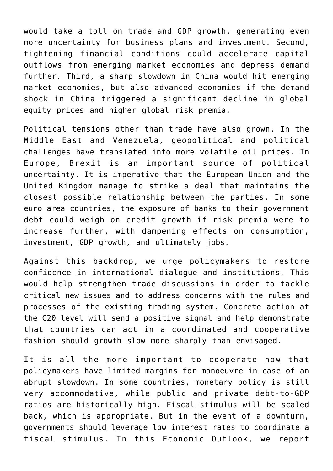would take a toll on trade and GDP growth, generating even more uncertainty for business plans and investment. Second, tightening financial conditions could accelerate capital outflows from emerging market economies and depress demand further. Third, a sharp slowdown in China would hit emerging market economies, but also advanced economies if the demand shock in China triggered a significant decline in global equity prices and higher global risk premia.

Political tensions other than trade have also grown. In the Middle East and Venezuela, geopolitical and political challenges have translated into more volatile oil prices. In Europe, Brexit is an important source of political uncertainty. It is imperative that the European Union and the United Kingdom manage to strike a deal that maintains the closest possible relationship between the parties. In some euro area countries, the exposure of banks to their government debt could weigh on credit growth if risk premia were to increase further, with dampening effects on consumption, investment, GDP growth, and ultimately jobs.

Against this backdrop, we urge policymakers to restore confidence in international dialogue and institutions. This would help strengthen trade discussions in order to tackle critical new issues and to address concerns with the rules and processes of the existing trading system. Concrete action at the G20 level will send a positive signal and help demonstrate that countries can act in a coordinated and cooperative fashion should growth slow more sharply than envisaged.

It is all the more important to cooperate now that policymakers have limited margins for manoeuvre in case of an abrupt slowdown. In some countries, monetary policy is still very accommodative, while public and private debt-to-GDP ratios are historically high. Fiscal stimulus will be scaled back, which is appropriate. But in the event of a downturn, governments should leverage low interest rates to coordinate a fiscal stimulus. In this Economic Outlook, we report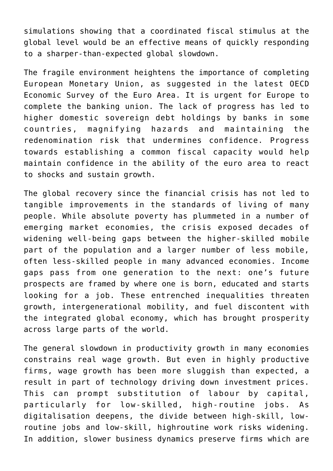simulations showing that a coordinated fiscal stimulus at the global level would be an effective means of quickly responding to a sharper-than-expected global slowdown.

The fragile environment heightens the importance of completing European Monetary Union, as suggested in the latest [OECD](http://www.oecd.org/eco/surveys/economic-survey-european-union-and-euro-area.htm) [Economic Survey of the Euro Area](http://www.oecd.org/eco/surveys/economic-survey-european-union-and-euro-area.htm). It is urgent for Europe to complete the banking union. The lack of progress has led to higher domestic sovereign debt holdings by banks in some countries, magnifying hazards and maintaining the redenomination risk that undermines confidence. Progress towards establishing a common fiscal capacity would help maintain confidence in the ability of the euro area to react to shocks and sustain growth.

The global recovery since the financial crisis has not led to tangible improvements in the standards of living of many people. While absolute poverty has plummeted in a number of emerging market economies, the crisis exposed decades of widening well-being gaps between the higher-skilled mobile part of the population and a larger number of less mobile, often less-skilled people in many advanced economies. Income gaps pass from one generation to the next: one's future prospects are framed by where one is born, educated and starts looking for a job. These entrenched inequalities threaten growth, intergenerational mobility, and fuel discontent with the integrated global economy, which has brought prosperity across large parts of the world.

The general slowdown in productivity growth in many economies constrains real wage growth. But even in highly productive firms, wage growth has been more sluggish than expected, a result in part of technology driving down investment prices. This can prompt substitution of labour by capital, particularly for low-skilled, high-routine jobs. As digitalisation deepens, the divide between high-skill, lowroutine jobs and low-skill, highroutine work risks widening. In addition, slower business dynamics preserve firms which are